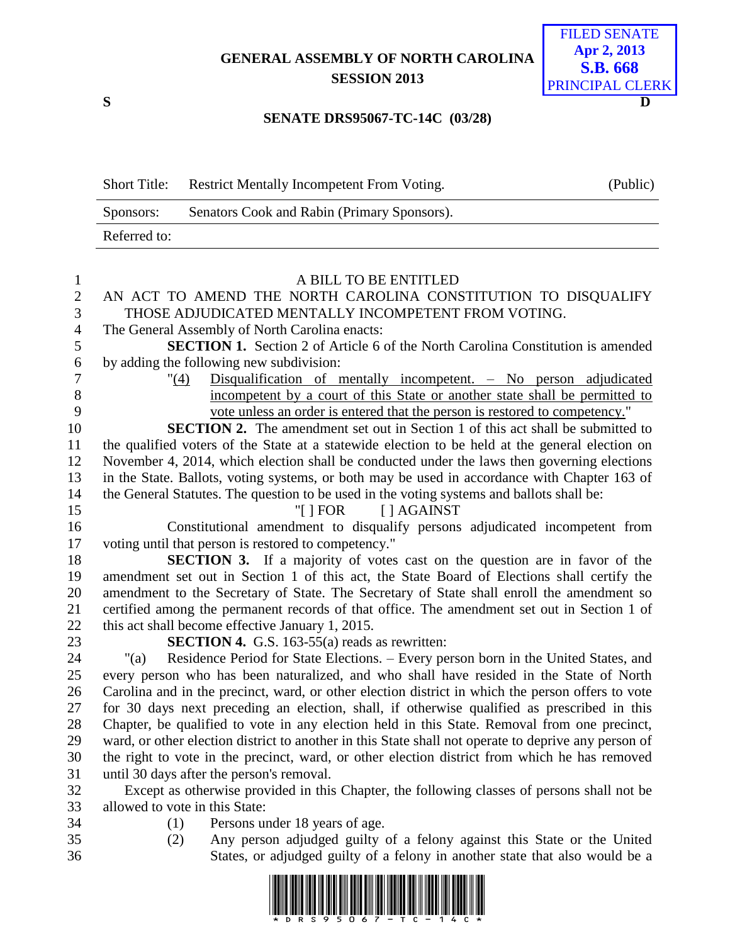## **GENERAL ASSEMBLY OF NORTH CAROLINA SESSION 2013**



## **SENATE DRS95067-TC-14C (03/28)**

| <b>Short Title:</b> | <b>Restrict Mentally Incompetent From Voting.</b> | (Public) |
|---------------------|---------------------------------------------------|----------|
| Sponsors:           | Senators Cook and Rabin (Primary Sponsors).       |          |
| Referred to:        |                                                   |          |

| $\overline{2}$<br>AN ACT TO AMEND THE NORTH CAROLINA CONSTITUTION TO DISQUALIFY<br>3<br>THOSE ADJUDICATED MENTALLY INCOMPETENT FROM VOTING.<br>$\overline{4}$<br>The General Assembly of North Carolina enacts:<br>5<br>SECTION 1. Section 2 of Article 6 of the North Carolina Constitution is amended<br>$\sqrt{6}$<br>by adding the following new subdivision:<br>$\overline{7}$<br>Disqualification of mentally incompetent. - No person adjudicated<br>"(4)<br>8<br>incompetent by a court of this State or another state shall be permitted to<br>9<br>vote unless an order is entered that the person is restored to competency." |  |
|------------------------------------------------------------------------------------------------------------------------------------------------------------------------------------------------------------------------------------------------------------------------------------------------------------------------------------------------------------------------------------------------------------------------------------------------------------------------------------------------------------------------------------------------------------------------------------------------------------------------------------------|--|
|                                                                                                                                                                                                                                                                                                                                                                                                                                                                                                                                                                                                                                          |  |
|                                                                                                                                                                                                                                                                                                                                                                                                                                                                                                                                                                                                                                          |  |
|                                                                                                                                                                                                                                                                                                                                                                                                                                                                                                                                                                                                                                          |  |
|                                                                                                                                                                                                                                                                                                                                                                                                                                                                                                                                                                                                                                          |  |
|                                                                                                                                                                                                                                                                                                                                                                                                                                                                                                                                                                                                                                          |  |
|                                                                                                                                                                                                                                                                                                                                                                                                                                                                                                                                                                                                                                          |  |
|                                                                                                                                                                                                                                                                                                                                                                                                                                                                                                                                                                                                                                          |  |
|                                                                                                                                                                                                                                                                                                                                                                                                                                                                                                                                                                                                                                          |  |
| <b>SECTION 2.</b> The amendment set out in Section 1 of this act shall be submitted to<br>10                                                                                                                                                                                                                                                                                                                                                                                                                                                                                                                                             |  |
| the qualified voters of the State at a statewide election to be held at the general election on<br>11                                                                                                                                                                                                                                                                                                                                                                                                                                                                                                                                    |  |
| 12<br>November 4, 2014, which election shall be conducted under the laws then governing elections                                                                                                                                                                                                                                                                                                                                                                                                                                                                                                                                        |  |
| 13<br>in the State. Ballots, voting systems, or both may be used in accordance with Chapter 163 of                                                                                                                                                                                                                                                                                                                                                                                                                                                                                                                                       |  |
| 14<br>the General Statutes. The question to be used in the voting systems and ballots shall be:                                                                                                                                                                                                                                                                                                                                                                                                                                                                                                                                          |  |
| 15<br>"[ $\vert$ FOR<br>[ ] AGAINST                                                                                                                                                                                                                                                                                                                                                                                                                                                                                                                                                                                                      |  |
| Constitutional amendment to disqualify persons adjudicated incompetent from<br>16                                                                                                                                                                                                                                                                                                                                                                                                                                                                                                                                                        |  |
| 17<br>voting until that person is restored to competency."                                                                                                                                                                                                                                                                                                                                                                                                                                                                                                                                                                               |  |
| 18<br><b>SECTION 3.</b> If a majority of votes cast on the question are in favor of the                                                                                                                                                                                                                                                                                                                                                                                                                                                                                                                                                  |  |
| 19<br>amendment set out in Section 1 of this act, the State Board of Elections shall certify the                                                                                                                                                                                                                                                                                                                                                                                                                                                                                                                                         |  |
| 20<br>amendment to the Secretary of State. The Secretary of State shall enroll the amendment so                                                                                                                                                                                                                                                                                                                                                                                                                                                                                                                                          |  |
| 21<br>certified among the permanent records of that office. The amendment set out in Section 1 of                                                                                                                                                                                                                                                                                                                                                                                                                                                                                                                                        |  |
| 22<br>this act shall become effective January 1, 2015.                                                                                                                                                                                                                                                                                                                                                                                                                                                                                                                                                                                   |  |
| 23<br><b>SECTION 4.</b> G.S. 163-55(a) reads as rewritten:                                                                                                                                                                                                                                                                                                                                                                                                                                                                                                                                                                               |  |
| 24<br>Residence Period for State Elections. - Every person born in the United States, and<br>"(a)                                                                                                                                                                                                                                                                                                                                                                                                                                                                                                                                        |  |
| 25<br>every person who has been naturalized, and who shall have resided in the State of North                                                                                                                                                                                                                                                                                                                                                                                                                                                                                                                                            |  |
| 26<br>Carolina and in the precinct, ward, or other election district in which the person offers to vote                                                                                                                                                                                                                                                                                                                                                                                                                                                                                                                                  |  |
| 27<br>for 30 days next preceding an election, shall, if otherwise qualified as prescribed in this<br>28<br>Chapter, be qualified to vote in any election held in this State. Removal from one precinct,                                                                                                                                                                                                                                                                                                                                                                                                                                  |  |
| 29<br>ward, or other election district to another in this State shall not operate to deprive any person of                                                                                                                                                                                                                                                                                                                                                                                                                                                                                                                               |  |
| 30<br>the right to vote in the precinct, ward, or other election district from which he has removed                                                                                                                                                                                                                                                                                                                                                                                                                                                                                                                                      |  |
| 31<br>until 30 days after the person's removal.                                                                                                                                                                                                                                                                                                                                                                                                                                                                                                                                                                                          |  |
| 32<br>Except as otherwise provided in this Chapter, the following classes of persons shall not be                                                                                                                                                                                                                                                                                                                                                                                                                                                                                                                                        |  |
| 33<br>allowed to vote in this State:                                                                                                                                                                                                                                                                                                                                                                                                                                                                                                                                                                                                     |  |
| 34<br>Persons under 18 years of age.<br>(1)                                                                                                                                                                                                                                                                                                                                                                                                                                                                                                                                                                                              |  |
| 35<br>Any person adjudged guilty of a felony against this State or the United<br>(2)                                                                                                                                                                                                                                                                                                                                                                                                                                                                                                                                                     |  |
| 36<br>States, or adjudged guilty of a felony in another state that also would be a                                                                                                                                                                                                                                                                                                                                                                                                                                                                                                                                                       |  |

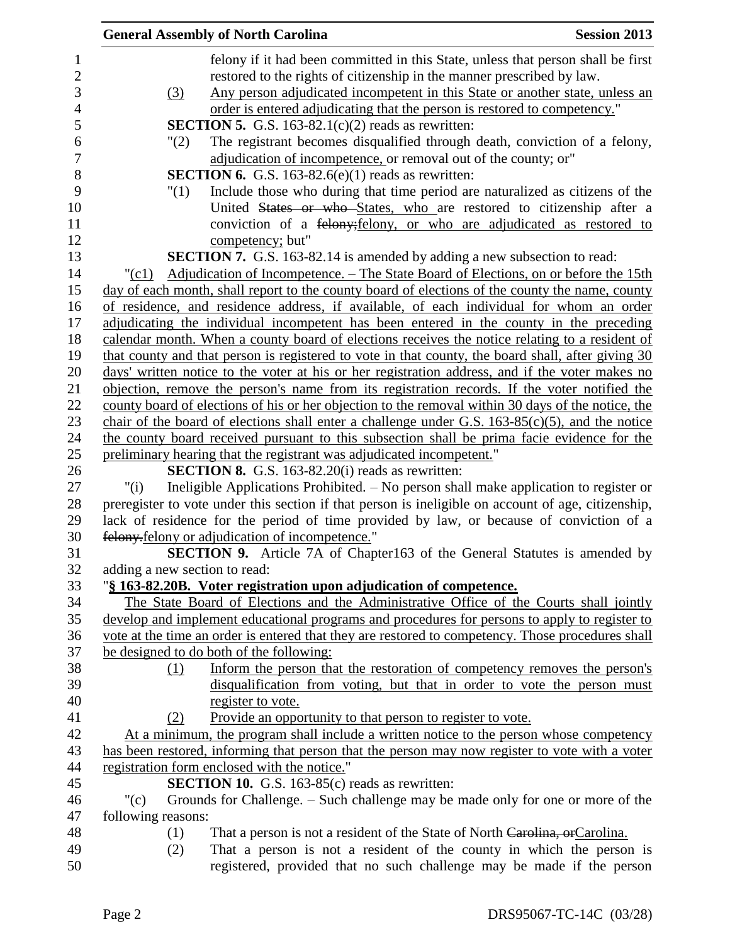| <b>Session 2013</b><br><b>General Assembly of North Carolina</b> |                                                                                                     |  |
|------------------------------------------------------------------|-----------------------------------------------------------------------------------------------------|--|
|                                                                  | felony if it had been committed in this State, unless that person shall be first                    |  |
|                                                                  | restored to the rights of citizenship in the manner prescribed by law.                              |  |
| (3)                                                              | Any person adjudicated incompetent in this State or another state, unless an                        |  |
|                                                                  | order is entered adjudicating that the person is restored to competency."                           |  |
|                                                                  | <b>SECTION 5.</b> G.S. 163-82.1 $(c)(2)$ reads as rewritten:                                        |  |
| "(2)                                                             | The registrant becomes disqualified through death, conviction of a felony,                          |  |
|                                                                  | adjudication of incompetence, or removal out of the county; or"                                     |  |
|                                                                  | <b>SECTION 6.</b> G.S. 163-82.6(e)(1) reads as rewritten:                                           |  |
| "(1)                                                             | Include those who during that time period are naturalized as citizens of the                        |  |
|                                                                  | United States or who States, who are restored to citizenship after a                                |  |
|                                                                  | conviction of a felony; felony, or who are adjudicated as restored to                               |  |
|                                                                  | competency; but"                                                                                    |  |
|                                                                  | <b>SECTION 7.</b> G.S. 163-82.14 is amended by adding a new subsection to read:                     |  |
| $"({c}1)$                                                        | Adjudication of Incompetence. – The State Board of Elections, on or before the 15th                 |  |
|                                                                  | day of each month, shall report to the county board of elections of the county the name, county     |  |
|                                                                  | of residence, and residence address, if available, of each individual for whom an order             |  |
|                                                                  | adjudicating the individual incompetent has been entered in the county in the preceding             |  |
|                                                                  | calendar month. When a county board of elections receives the notice relating to a resident of      |  |
|                                                                  | that county and that person is registered to vote in that county, the board shall, after giving 30  |  |
|                                                                  | days' written notice to the voter at his or her registration address, and if the voter makes no     |  |
|                                                                  | objection, remove the person's name from its registration records. If the voter notified the        |  |
|                                                                  | county board of elections of his or her objection to the removal within 30 days of the notice, the  |  |
|                                                                  | chair of the board of elections shall enter a challenge under G.S. $163-85(c)(5)$ , and the notice  |  |
|                                                                  | the county board received pursuant to this subsection shall be prima facie evidence for the         |  |
|                                                                  | preliminary hearing that the registrant was adjudicated incompetent."                               |  |
|                                                                  | <b>SECTION 8.</b> G.S. 163-82.20(i) reads as rewritten:                                             |  |
| "(i)                                                             | Ineligible Applications Prohibited. – No person shall make application to register or               |  |
|                                                                  | preregister to vote under this section if that person is ineligible on account of age, citizenship, |  |
|                                                                  | lack of residence for the period of time provided by law, or because of conviction of a             |  |
|                                                                  | felony felony or adjudication of incompetence."                                                     |  |
|                                                                  | <b>SECTION 9.</b> Article 7A of Chapter163 of the General Statutes is amended by                    |  |
| adding a new section to read:                                    |                                                                                                     |  |
|                                                                  | "§ 163-82.20B. Voter registration upon adjudication of competence.                                  |  |
|                                                                  | The State Board of Elections and the Administrative Office of the Courts shall jointly              |  |
|                                                                  | develop and implement educational programs and procedures for persons to apply to register to       |  |
|                                                                  | vote at the time an order is entered that they are restored to competency. Those procedures shall   |  |
|                                                                  | be designed to do both of the following:                                                            |  |
| (1)                                                              | Inform the person that the restoration of competency removes the person's                           |  |
|                                                                  | disqualification from voting, but that in order to vote the person must                             |  |
|                                                                  | register to vote.                                                                                   |  |
| (2)                                                              | Provide an opportunity to that person to register to vote.                                          |  |
|                                                                  | At a minimum, the program shall include a written notice to the person whose competency             |  |
|                                                                  | has been restored, informing that person that the person may now register to vote with a voter      |  |
|                                                                  | registration form enclosed with the notice."                                                        |  |
|                                                                  | <b>SECTION 10.</b> G.S. 163-85(c) reads as rewritten:                                               |  |
| " $(c)$                                                          | Grounds for Challenge. – Such challenge may be made only for one or more of the                     |  |
| following reasons:                                               |                                                                                                     |  |
| (1)                                                              | That a person is not a resident of the State of North Carolina, or Carolina.                        |  |
| (2)                                                              | That a person is not a resident of the county in which the person is                                |  |
|                                                                  | registered, provided that no such challenge may be made if the person                               |  |